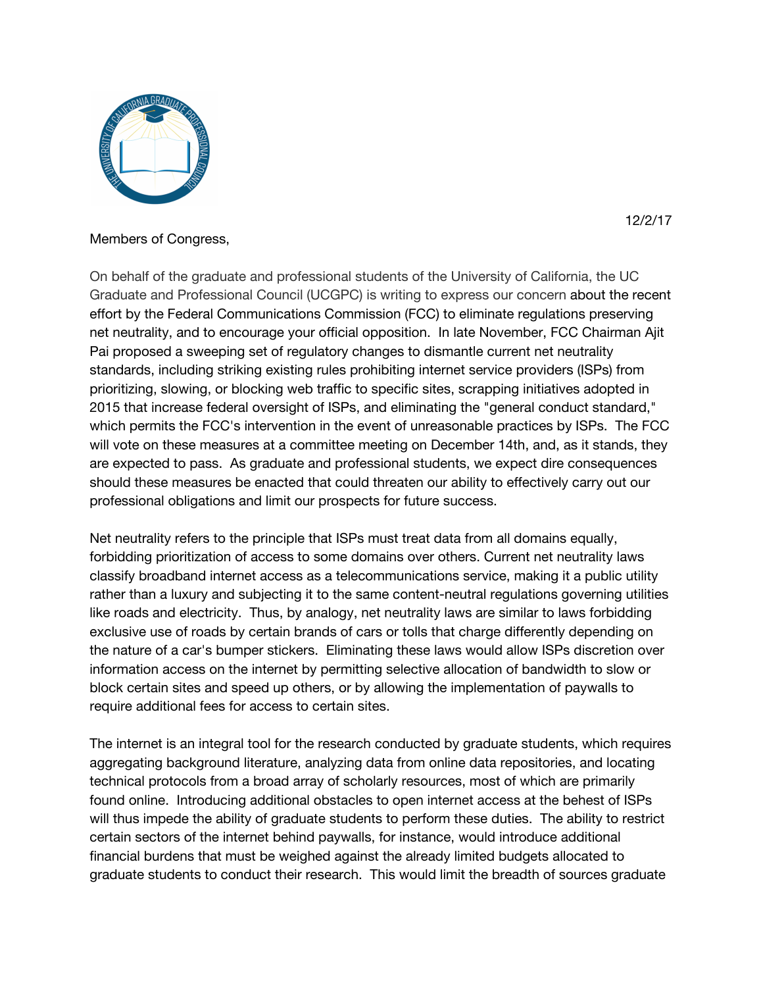

## Members of Congress,

On behalf of the graduate and professional students of the University of California, the UC Graduate and Professional Council (UCGPC) is writing to express our concern about the recent effort by the Federal Communications Commission (FCC) to eliminate regulations preserving net neutrality, and to encourage your official opposition. In late November, FCC Chairman Ajit Pai proposed a sweeping set of regulatory changes to dismantle current net neutrality standards, including striking existing rules prohibiting internet service providers (ISPs) from prioritizing, slowing, or blocking web traffic to specific sites, scrapping initiatives adopted in 2015 that increase federal oversight of ISPs, and eliminating the "general conduct standard," which permits the FCC's intervention in the event of unreasonable practices by ISPs. The FCC will vote on these measures at a committee meeting on December 14th, and, as it stands, they are expected to pass. As graduate and professional students, we expect dire consequences should these measures be enacted that could threaten our ability to effectively carry out our professional obligations and limit our prospects for future success.

Net neutrality refers to the principle that ISPs must treat data from all domains equally, forbidding prioritization of access to some domains over others. Current net neutrality laws classify broadband internet access as a telecommunications service, making it a public utility rather than a luxury and subjecting it to the same content-neutral regulations governing utilities like roads and electricity. Thus, by analogy, net neutrality laws are similar to laws forbidding exclusive use of roads by certain brands of cars or tolls that charge differently depending on the nature of a car's bumper stickers. Eliminating these laws would allow ISPs discretion over information access on the internet by permitting selective allocation of bandwidth to slow or block certain sites and speed up others, or by allowing the implementation of paywalls to require additional fees for access to certain sites.

The internet is an integral tool for the research conducted by graduate students, which requires aggregating background literature, analyzing data from online data repositories, and locating technical protocols from a broad array of scholarly resources, most of which are primarily found online. Introducing additional obstacles to open internet access at the behest of ISPs will thus impede the ability of graduate students to perform these duties. The ability to restrict certain sectors of the internet behind paywalls, for instance, would introduce additional financial burdens that must be weighed against the already limited budgets allocated to graduate students to conduct their research. This would limit the breadth of sources graduate

12/2/17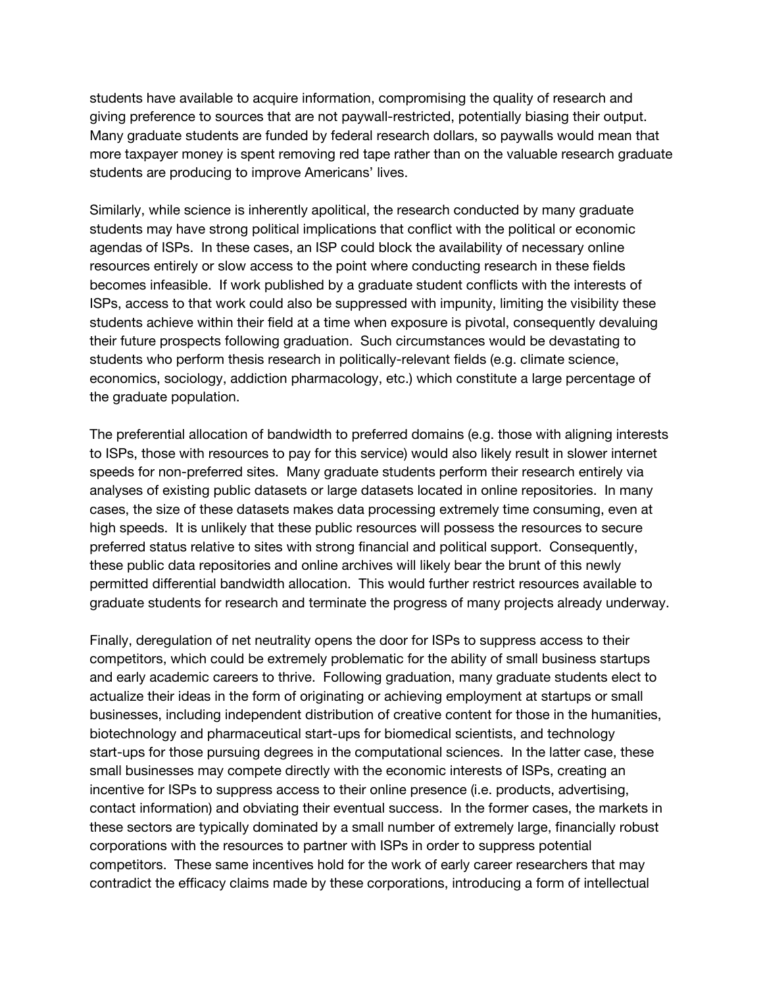students have available to acquire information, compromising the quality of research and giving preference to sources that are not paywall-restricted, potentially biasing their output. Many graduate students are funded by federal research dollars, so paywalls would mean that more taxpayer money is spent removing red tape rather than on the valuable research graduate students are producing to improve Americans' lives.

Similarly, while science is inherently apolitical, the research conducted by many graduate students may have strong political implications that conflict with the political or economic agendas of ISPs. In these cases, an ISP could block the availability of necessary online resources entirely or slow access to the point where conducting research in these fields becomes infeasible. If work published by a graduate student conflicts with the interests of ISPs, access to that work could also be suppressed with impunity, limiting the visibility these students achieve within their field at a time when exposure is pivotal, consequently devaluing their future prospects following graduation. Such circumstances would be devastating to students who perform thesis research in politically-relevant fields (e.g. climate science, economics, sociology, addiction pharmacology, etc.) which constitute a large percentage of the graduate population.

The preferential allocation of bandwidth to preferred domains (e.g. those with aligning interests to ISPs, those with resources to pay for this service) would also likely result in slower internet speeds for non-preferred sites. Many graduate students perform their research entirely via analyses of existing public datasets or large datasets located in online repositories. In many cases, the size of these datasets makes data processing extremely time consuming, even at high speeds. It is unlikely that these public resources will possess the resources to secure preferred status relative to sites with strong financial and political support. Consequently, these public data repositories and online archives will likely bear the brunt of this newly permitted differential bandwidth allocation. This would further restrict resources available to graduate students for research and terminate the progress of many projects already underway.

Finally, deregulation of net neutrality opens the door for ISPs to suppress access to their competitors, which could be extremely problematic for the ability of small business startups and early academic careers to thrive. Following graduation, many graduate students elect to actualize their ideas in the form of originating or achieving employment at startups or small businesses, including independent distribution of creative content for those in the humanities, biotechnology and pharmaceutical start-ups for biomedical scientists, and technology start-ups for those pursuing degrees in the computational sciences. In the latter case, these small businesses may compete directly with the economic interests of ISPs, creating an incentive for ISPs to suppress access to their online presence (i.e. products, advertising, contact information) and obviating their eventual success. In the former cases, the markets in these sectors are typically dominated by a small number of extremely large, financially robust corporations with the resources to partner with ISPs in order to suppress potential competitors. These same incentives hold for the work of early career researchers that may contradict the efficacy claims made by these corporations, introducing a form of intellectual